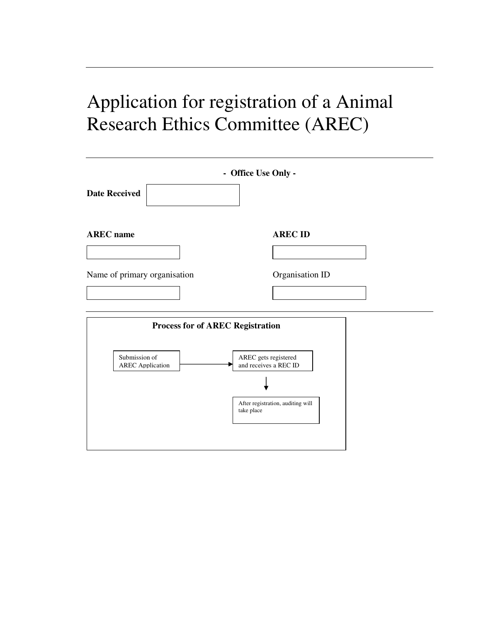# Application for registration of a Animal Research Ethics Committee (AREC)

| <b>Date Received</b>                     | - Office Use Only -                             |
|------------------------------------------|-------------------------------------------------|
| <b>AREC</b> name                         | <b>AREC ID</b>                                  |
|                                          |                                                 |
| Name of primary organisation             | Organisation ID                                 |
|                                          |                                                 |
| <b>Process for of AREC Registration</b>  |                                                 |
| Submission of<br><b>AREC</b> Application | AREC gets registered<br>and receives a REC ID   |
|                                          | After registration, auditing will<br>take place |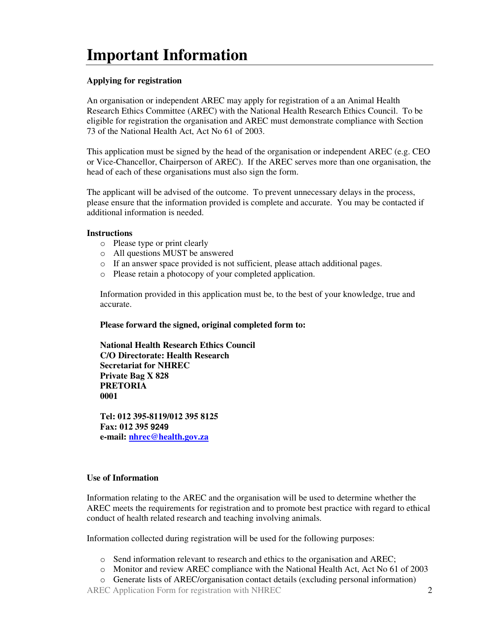## **Important Information**

## **Applying for registration**

An organisation or independent AREC may apply for registration of a an Animal Health Research Ethics Committee (AREC) with the National Health Research Ethics Council. To be eligible for registration the organisation and AREC must demonstrate compliance with Section 73 of the National Health Act, Act No 61 of 2003.

This application must be signed by the head of the organisation or independent AREC (e.g. CEO or Vice-Chancellor, Chairperson of AREC). If the AREC serves more than one organisation, the head of each of these organisations must also sign the form.

The applicant will be advised of the outcome. To prevent unnecessary delays in the process, please ensure that the information provided is complete and accurate. You may be contacted if additional information is needed.

#### **Instructions**

- o Please type or print clearly
- o All questions MUST be answered
- o If an answer space provided is not sufficient, please attach additional pages.
- o Please retain a photocopy of your completed application.

Information provided in this application must be, to the best of your knowledge, true and accurate.

#### **Please forward the signed, original completed form to:**

**National Health Research Ethics Council C/O Directorate: Health Research Secretariat for NHREC Private Bag X 828 PRETORIA 0001** 

**Tel: 012 395-8119/012 395 8125 Fax: 012 395 9249 e-mail: nhrec@health.gov.za**

## **Use of Information**

Information relating to the AREC and the organisation will be used to determine whether the AREC meets the requirements for registration and to promote best practice with regard to ethical conduct of health related research and teaching involving animals.

Information collected during registration will be used for the following purposes:

- o Send information relevant to research and ethics to the organisation and AREC;
- o Monitor and review AREC compliance with the National Health Act, Act No 61 of 2003
- o Generate lists of AREC/organisation contact details (excluding personal information)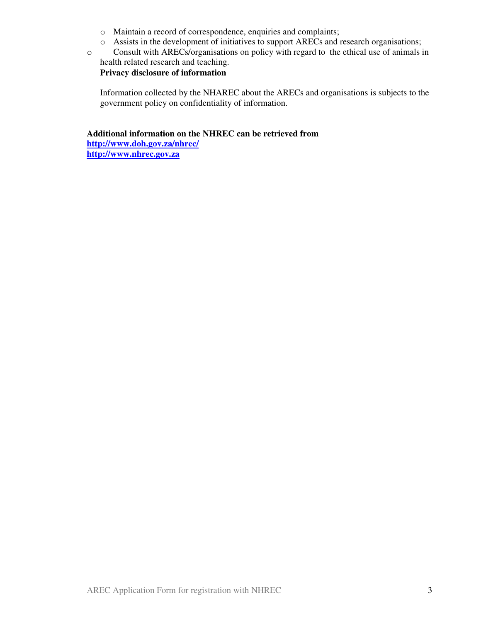- o Maintain a record of correspondence, enquiries and complaints;
- o Assists in the development of initiatives to support ARECs and research organisations;
- o Consult with ARECs/organisations on policy with regard to the ethical use of animals in health related research and teaching.

**Privacy disclosure of information** 

Information collected by the NHAREC about the ARECs and organisations is subjects to the government policy on confidentiality of information.

**Additional information on the NHREC can be retrieved from http://www.doh.gov.za/nhrec/ http://www.nhrec.gov.za**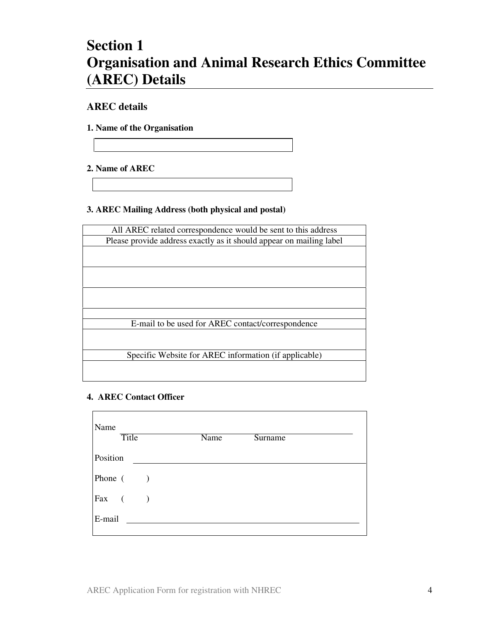## **Section 1 Organisation and Animal Research Ethics Committee (AREC) Details**

## **AREC details**

**1. Name of the Organisation** 

## **2. Name of AREC**

## **3. AREC Mailing Address (both physical and postal)**

| All AREC related correspondence would be sent to this address       |
|---------------------------------------------------------------------|
| Please provide address exactly as it should appear on mailing label |
|                                                                     |
|                                                                     |
|                                                                     |
|                                                                     |
|                                                                     |
|                                                                     |
|                                                                     |
| E-mail to be used for AREC contact/correspondence                   |
|                                                                     |
|                                                                     |
| Specific Website for AREC information (if applicable)               |
|                                                                     |
|                                                                     |

## **4. AREC Contact Officer**

| Name     | <b>Title</b>             | Name | <b>Surname</b> |
|----------|--------------------------|------|----------------|
| Position |                          |      |                |
| Phone (  | $\overline{\phantom{a}}$ |      |                |
| Fax (    | $\overline{\phantom{a}}$ |      |                |
| E-mail   |                          |      |                |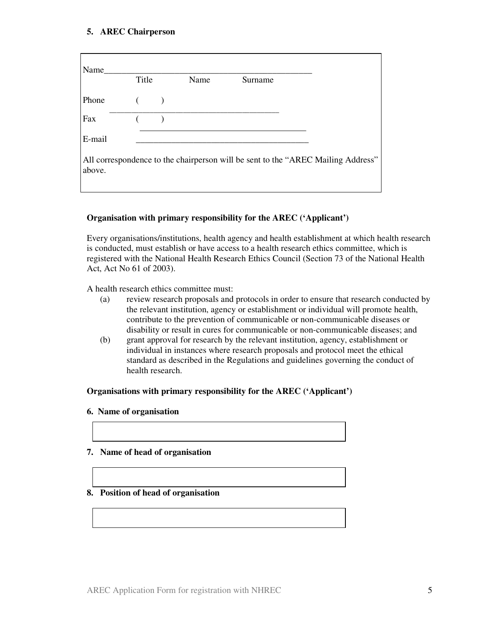### **5. AREC Chairperson**

| Name   | Title |               | Name | Surname |                                                                                  |
|--------|-------|---------------|------|---------|----------------------------------------------------------------------------------|
| Phone  |       | $\rightarrow$ |      |         |                                                                                  |
| Fax    |       |               |      |         |                                                                                  |
| E-mail |       |               |      |         |                                                                                  |
| above. |       |               |      |         | All correspondence to the chairperson will be sent to the "AREC Mailing Address" |

## **Organisation with primary responsibility for the AREC ('Applicant')**

Every organisations/institutions, health agency and health establishment at which health research is conducted, must establish or have access to a health research ethics committee, which is registered with the National Health Research Ethics Council (Section 73 of the National Health Act, Act No 61 of 2003).

A health research ethics committee must:

- (a) review research proposals and protocols in order to ensure that research conducted by the relevant institution, agency or establishment or individual will promote health, contribute to the prevention of communicable or non-communicable diseases or disability or result in cures for communicable or non-communicable diseases; and
- (b) grant approval for research by the relevant institution, agency, establishment or individual in instances where research proposals and protocol meet the ethical standard as described in the Regulations and guidelines governing the conduct of health research.

#### **Organisations with primary responsibility for the AREC ('Applicant')**

#### **6. Name of organisation**

#### **7. Name of head of organisation**

#### **8. Position of head of organisation**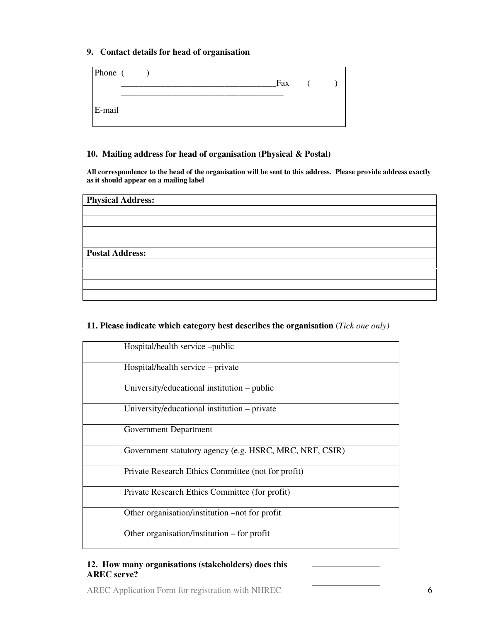#### **9. Contact details for head of organisation**

| Phone ( |  |  |  | Fax |  |  |
|---------|--|--|--|-----|--|--|
| E-mail  |  |  |  |     |  |  |

#### **10. Mailing address for head of organisation (Physical & Postal)**

**All correspondence to the head of the organisation will be sent to this address. Please provide address exactly as it should appear on a mailing label** 

| <b>Physical Address:</b> |
|--------------------------|
|                          |
|                          |
|                          |
|                          |
|                          |
| <b>Postal Address:</b>   |
|                          |
|                          |
|                          |
|                          |

## **11. Please indicate which category best describes the organisation** (*Tick one only)*

| Hospital/health service -public                         |
|---------------------------------------------------------|
| Hospital/health service – private                       |
| University/educational institution – public             |
| University/educational institution – private            |
| Government Department                                   |
| Government statutory agency (e.g. HSRC, MRC, NRF, CSIR) |
| Private Research Ethics Committee (not for profit)      |
| Private Research Ethics Committee (for profit)          |
| Other organisation/institution –not for profit          |
| Other organisation/institution – for profit             |

#### **12. How many organisations (stakeholders) does this AREC serve?**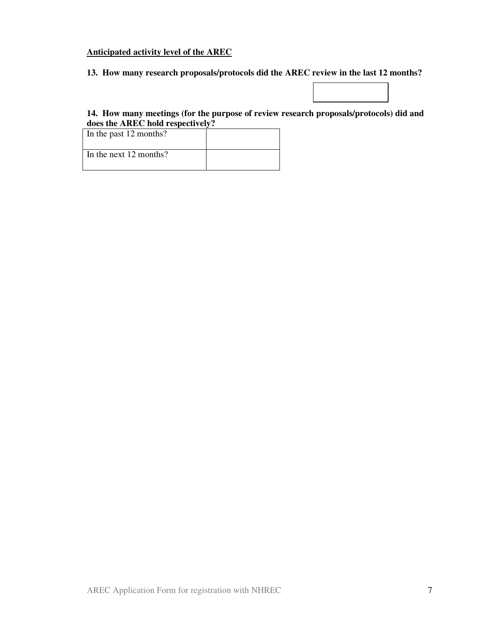#### **Anticipated activity level of the AREC**

**13. How many research proposals/protocols did the AREC review in the last 12 months?** 

## **14. How many meetings (for the purpose of review research proposals/protocols) did and does the AREC hold respectively?**

| In the past 12 months? |  |
|------------------------|--|
| In the next 12 months? |  |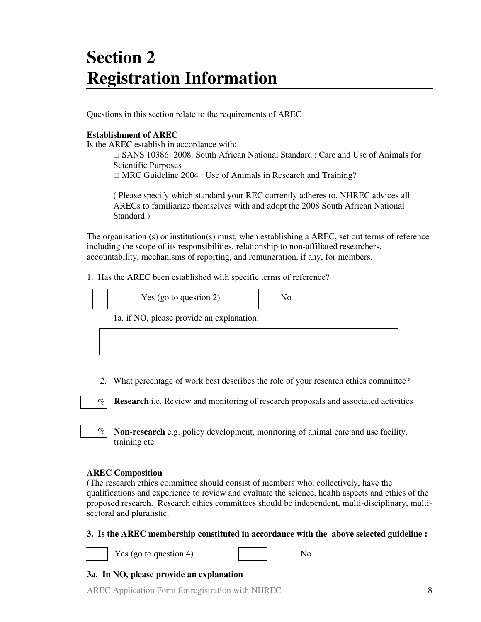## **Section 2 Registration Information**

Questions in this section relate to the requirements of AREC

### **Establishment of AREC**

Is the AREC establish in accordance with:

 SANS 10386: 2008. South African National Standard : Care and Use of Animals for Scientific Purposes

MRC Guideline 2004 : Use of Animals in Research and Training?

( Please specify which standard your REC currently adheres to. NHREC advices all ARECs to familiarize themselves with and adopt the 2008 South African National Standard.)

The organisation (s) or institution(s) must, when establishing a AREC, set out terms of reference including the scope of its responsibilities, relationship to non-affiliated researchers, accountability, mechanisms of reporting, and remuneration, if any, for members.

1. Has the AREC been established with specific terms of reference?

| Yes (go to question 2)                    | No |
|-------------------------------------------|----|
| 1a. if NO, please provide an explanation: |    |
|                                           |    |

2. What percentage of work best describes the role of your research ethics committee?

**Research** i.e. Review and monitoring of research proposals and associated activities  $\%$ 

**Non-research** e.g. policy development, monitoring of animal care and use facility, training etc.

## **AREC Composition**

 $\%$ 

(The research ethics committee should consist of members who, collectively, have the qualifications and experience to review and evaluate the science, health aspects and ethics of the proposed research. Research ethics committees should be independent, multi-disciplinary, multisectoral and pluralistic.

**3. Is the AREC membership constituted in accordance with the above selected guideline :** 



Yes (go to question 4)  $\log_2 4$  No

## **3a. In NO, please provide an explanation**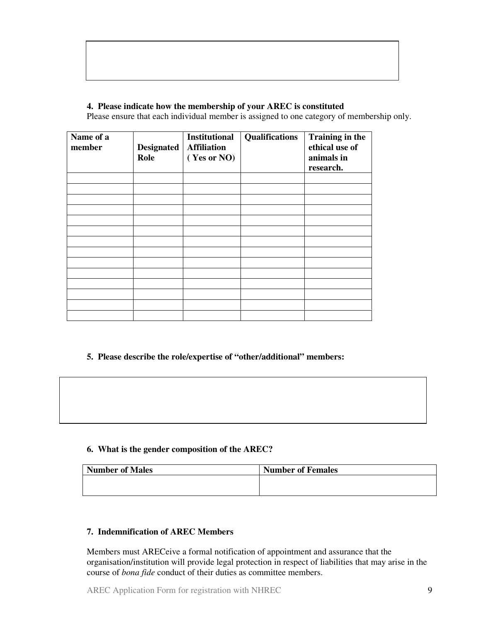## **4. Please indicate how the membership of your AREC is constituted**

Please ensure that each individual member is assigned to one category of membership only.

| Name of a<br>member | <b>Designated</b><br>Role | <b>Institutional</b><br><b>Affiliation</b><br>(Yes or NO) | <b>Qualifications</b> | <b>Training in the</b><br>ethical use of<br>animals in<br>research. |
|---------------------|---------------------------|-----------------------------------------------------------|-----------------------|---------------------------------------------------------------------|
|                     |                           |                                                           |                       |                                                                     |
|                     |                           |                                                           |                       |                                                                     |
|                     |                           |                                                           |                       |                                                                     |
|                     |                           |                                                           |                       |                                                                     |
|                     |                           |                                                           |                       |                                                                     |
|                     |                           |                                                           |                       |                                                                     |
|                     |                           |                                                           |                       |                                                                     |
|                     |                           |                                                           |                       |                                                                     |
|                     |                           |                                                           |                       |                                                                     |
|                     |                           |                                                           |                       |                                                                     |
|                     |                           |                                                           |                       |                                                                     |
|                     |                           |                                                           |                       |                                                                     |
|                     |                           |                                                           |                       |                                                                     |
|                     |                           |                                                           |                       |                                                                     |

## **5. Please describe the role/expertise of "other/additional" members:**

#### **6. What is the gender composition of the AREC?**

| <b>Number of Males</b> | <b>Number of Females</b> |
|------------------------|--------------------------|
|                        |                          |
|                        |                          |

## **7. Indemnification of AREC Members**

Members must ARECeive a formal notification of appointment and assurance that the organisation/institution will provide legal protection in respect of liabilities that may arise in the course of *bona fide* conduct of their duties as committee members.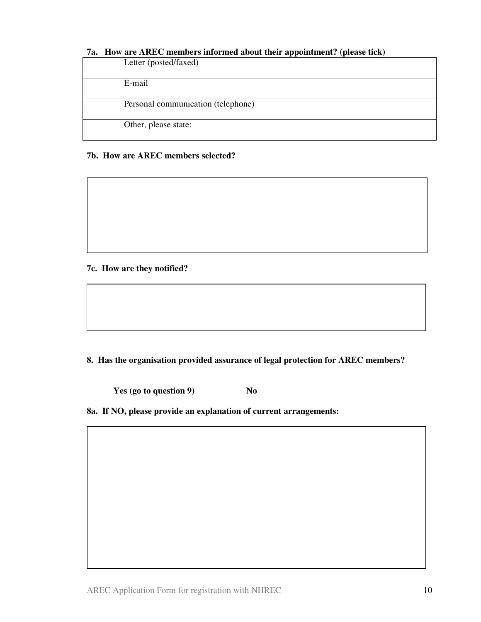## **7a. How are AREC members informed about their appointment? (please tick)**

| Letter (posted/faxed)              |
|------------------------------------|
| E-mail                             |
| Personal communication (telephone) |
| Other, please state:               |

#### **7b. How are AREC members selected?**

**7c. How are they notified?** 

**8. Has the organisation provided assurance of legal protection for AREC members?** 

**Yes (go to question 9)** No

**8a. If NO, please provide an explanation of current arrangements:**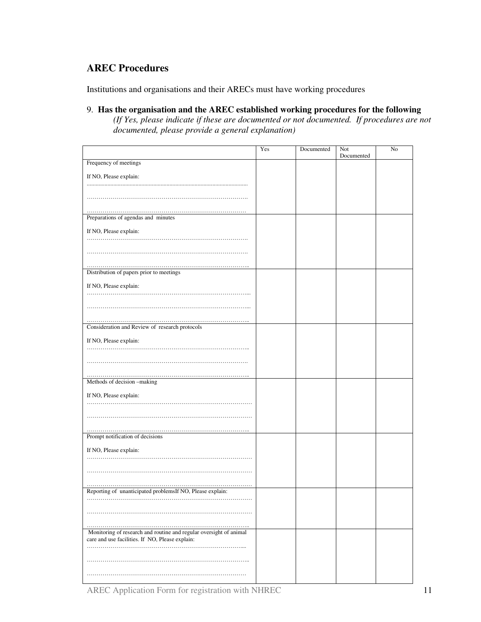## **AREC Procedures**

Institutions and organisations and their ARECs must have working procedures

9. **Has the organisation and the AREC established working procedures for the following** *(If Yes, please indicate if these are documented or not documented. If procedures are not documented, please provide a general explanation)* 

|                                                                                                                       | Yes | Documented | Not        | No |
|-----------------------------------------------------------------------------------------------------------------------|-----|------------|------------|----|
| Frequency of meetings                                                                                                 |     |            | Documented |    |
|                                                                                                                       |     |            |            |    |
| If NO, Please explain:                                                                                                |     |            |            |    |
|                                                                                                                       |     |            |            |    |
|                                                                                                                       |     |            |            |    |
|                                                                                                                       |     |            |            |    |
| Preparations of agendas and minutes                                                                                   |     |            |            |    |
| If NO, Please explain:                                                                                                |     |            |            |    |
|                                                                                                                       |     |            |            |    |
|                                                                                                                       |     |            |            |    |
|                                                                                                                       |     |            |            |    |
| Distribution of papers prior to meetings                                                                              |     |            |            |    |
|                                                                                                                       |     |            |            |    |
| If NO, Please explain:                                                                                                |     |            |            |    |
|                                                                                                                       |     |            |            |    |
|                                                                                                                       |     |            |            |    |
|                                                                                                                       |     |            |            |    |
| Consideration and Review of research protocols                                                                        |     |            |            |    |
| If NO, Please explain:                                                                                                |     |            |            |    |
|                                                                                                                       |     |            |            |    |
|                                                                                                                       |     |            |            |    |
|                                                                                                                       |     |            |            |    |
| Methods of decision -making                                                                                           |     |            |            |    |
|                                                                                                                       |     |            |            |    |
| If NO, Please explain:                                                                                                |     |            |            |    |
|                                                                                                                       |     |            |            |    |
|                                                                                                                       |     |            |            |    |
|                                                                                                                       |     |            |            |    |
| Prompt notification of decisions                                                                                      |     |            |            |    |
| If NO, Please explain:                                                                                                |     |            |            |    |
|                                                                                                                       |     |            |            |    |
|                                                                                                                       |     |            |            |    |
|                                                                                                                       |     |            |            |    |
| Reporting of unanticipated problemsIf NO, Please explain:                                                             |     |            |            |    |
|                                                                                                                       |     |            |            |    |
|                                                                                                                       |     |            |            |    |
|                                                                                                                       |     |            |            |    |
|                                                                                                                       |     |            |            |    |
| Monitoring of research and routine and regular oversight of animal<br>care and use facilities. If NO, Please explain: |     |            |            |    |
|                                                                                                                       |     |            |            |    |
|                                                                                                                       |     |            |            |    |
|                                                                                                                       |     |            |            |    |
|                                                                                                                       |     |            |            |    |
|                                                                                                                       |     |            |            |    |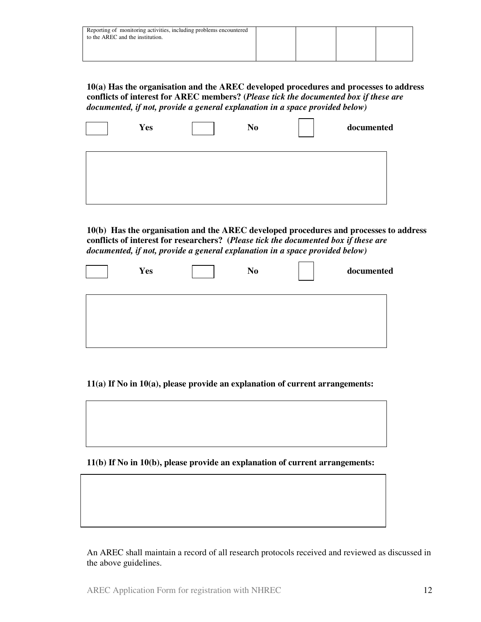| Reporting of monitoring activities, including problems encountered<br>to the AREC and the institution. |  |  |
|--------------------------------------------------------------------------------------------------------|--|--|
|                                                                                                        |  |  |

**10(a) Has the organisation and the AREC developed procedures and processes to address conflicts of interest for AREC members? (***Please tick the documented box if these are documented, if not, provide a general explanation in a space provided below)* 

| <b>Yes</b> | N <sub>0</sub> | documented |
|------------|----------------|------------|
|            |                |            |
|            |                |            |
|            |                |            |

**10(b) Has the organisation and the AREC developed procedures and processes to address conflicts of interest for researchers? (***Please tick the documented box if these are documented, if not, provide a general explanation in a space provided below)* 

| Yes | N <sub>0</sub> | documented |
|-----|----------------|------------|
|     |                |            |
|     |                |            |

**11(a) If No in 10(a), please provide an explanation of current arrangements:** 

**11(b) If No in 10(b), please provide an explanation of current arrangements:** 

An AREC shall maintain a record of all research protocols received and reviewed as discussed in the above guidelines.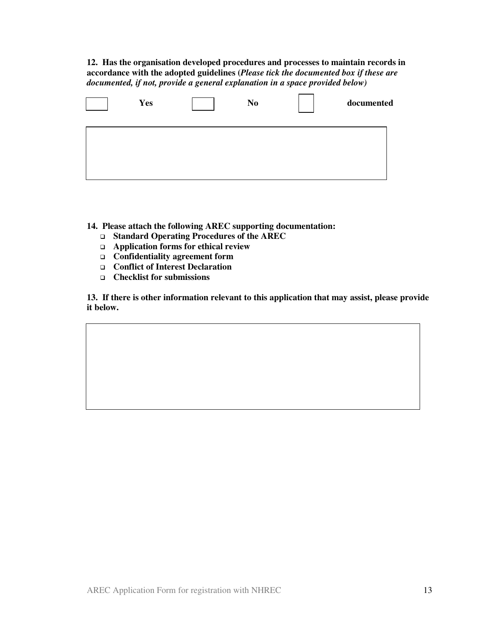**12. Has the organisation developed procedures and processes to maintain records in accordance with the adopted guidelines (***Please tick the documented box if these are documented, if not, provide a general explanation in a space provided below)* 



**14. Please attach the following AREC supporting documentation:** 

- **Standard Operating Procedures of the AREC**
- **Application forms for ethical review**
- **Confidentiality agreement form**
- **Conflict of Interest Declaration**
- **Checklist for submissions**

**13. If there is other information relevant to this application that may assist, please provide it below.**